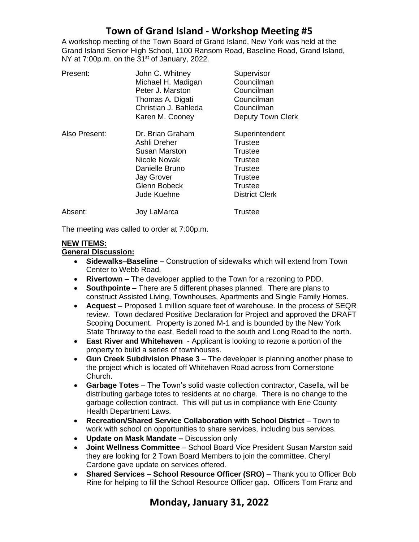# **Town of Grand Island - Workshop Meeting #5**

A workshop meeting of the Town Board of Grand Island, New York was held at the Grand Island Senior High School, 1100 Ransom Road, Baseline Road, Grand Island, NY at  $7:00p.m.$  on the  $31<sup>st</sup>$  of January, 2022.

| Present:      | John C. Whitney      | Supervisor               |
|---------------|----------------------|--------------------------|
|               | Michael H. Madigan   | Councilman               |
|               | Peter J. Marston     | Councilman               |
|               | Thomas A. Digati     | Councilman               |
|               | Christian J. Bahleda | Councilman               |
|               | Karen M. Cooney      | <b>Deputy Town Clerk</b> |
| Also Present: | Dr. Brian Graham     | Superintendent           |
|               | Ashli Dreher         | <b>Trustee</b>           |
|               | Susan Marston        | <b>Trustee</b>           |
|               | Nicole Novak         | Trustee                  |
|               | Danielle Bruno       | Trustee                  |
|               | <b>Jay Grover</b>    | Trustee                  |
|               | Glenn Bobeck         | Trustee                  |
|               | Jude Kuehne          | <b>District Clerk</b>    |
| Absent:       | Joy LaMarca          | Trustee                  |

The meeting was called to order at 7:00p.m.

#### **NEW ITEMS:**

### **General Discussion:**

- **Sidewalks–Baseline –** Construction of sidewalks which will extend from Town Center to Webb Road.
- **Rivertown –** The developer applied to the Town for a rezoning to PDD.
- **Southpointe –** There are 5 different phases planned. There are plans to construct Assisted Living, Townhouses, Apartments and Single Family Homes.
- **Acquest –** Proposed 1 million square feet of warehouse. In the process of SEQR review. Town declared Positive Declaration for Project and approved the DRAFT Scoping Document. Property is zoned M-1 and is bounded by the New York State Thruway to the east, Bedell road to the south and Long Road to the north.
- **East River and Whitehaven**  Applicant is looking to rezone a portion of the property to build a series of townhouses.
- **Gun Creek Subdivision Phase 3**  The developer is planning another phase to the project which is located off Whitehaven Road across from Cornerstone Church.
- **Garbage Totes** The Town's solid waste collection contractor, Casella, will be distributing garbage totes to residents at no charge. There is no change to the garbage collection contract. This will put us in compliance with Erie County Health Department Laws.
- **Recreation/Shared Service Collaboration with School District**  Town to work with school on opportunities to share services, including bus services.
- **Update on Mask Mandate –** Discussion only
- **Joint Wellness Committee** School Board Vice President Susan Marston said they are looking for 2 Town Board Members to join the committee. Cheryl Cardone gave update on services offered.
- **Shared Services – School Resource Officer (SRO)** Thank you to Officer Bob Rine for helping to fill the School Resource Officer gap. Officers Tom Franz and

## **Monday, January 31, 2022**